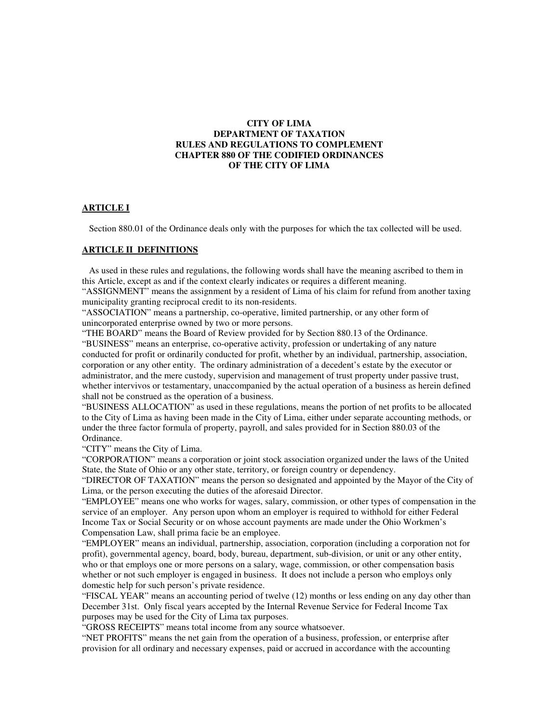## **CITY OF LIMA DEPARTMENT OF TAXATION RULES AND REGULATIONS TO COMPLEMENT CHAPTER 880 OF THE CODIFIED ORDINANCES OF THE CITY OF LIMA**

### **ARTICLE I**

Section 880.01 of the Ordinance deals only with the purposes for which the tax collected will be used.

### **ARTICLE II DEFINITIONS**

 As used in these rules and regulations, the following words shall have the meaning ascribed to them in this Article, except as and if the context clearly indicates or requires a different meaning.

"ASSIGNMENT" means the assignment by a resident of Lima of his claim for refund from another taxing municipality granting reciprocal credit to its non-residents.

"ASSOCIATION" means a partnership, co-operative, limited partnership, or any other form of unincorporated enterprise owned by two or more persons.

"THE BOARD" means the Board of Review provided for by Section 880.13 of the Ordinance.

"BUSINESS" means an enterprise, co-operative activity, profession or undertaking of any nature conducted for profit or ordinarily conducted for profit, whether by an individual, partnership, association, corporation or any other entity. The ordinary administration of a decedent's estate by the executor or administrator, and the mere custody, supervision and management of trust property under passive trust, whether intervivos or testamentary, unaccompanied by the actual operation of a business as herein defined shall not be construed as the operation of a business.

"BUSINESS ALLOCATION" as used in these regulations, means the portion of net profits to be allocated to the City of Lima as having been made in the City of Lima, either under separate accounting methods, or under the three factor formula of property, payroll, and sales provided for in Section 880.03 of the Ordinance.

"CITY" means the City of Lima.

"CORPORATION" means a corporation or joint stock association organized under the laws of the United State, the State of Ohio or any other state, territory, or foreign country or dependency.

"DIRECTOR OF TAXATION" means the person so designated and appointed by the Mayor of the City of Lima, or the person executing the duties of the aforesaid Director.

"EMPLOYEE" means one who works for wages, salary, commission, or other types of compensation in the service of an employer. Any person upon whom an employer is required to withhold for either Federal Income Tax or Social Security or on whose account payments are made under the Ohio Workmen's Compensation Law, shall prima facie be an employee.

"EMPLOYER" means an individual, partnership, association, corporation (including a corporation not for profit), governmental agency, board, body, bureau, department, sub-division, or unit or any other entity, who or that employs one or more persons on a salary, wage, commission, or other compensation basis whether or not such employer is engaged in business. It does not include a person who employs only domestic help for such person's private residence.

"FISCAL YEAR" means an accounting period of twelve (12) months or less ending on any day other than December 31st. Only fiscal years accepted by the Internal Revenue Service for Federal Income Tax purposes may be used for the City of Lima tax purposes.

"GROSS RECEIPTS" means total income from any source whatsoever.

"NET PROFITS" means the net gain from the operation of a business, profession, or enterprise after provision for all ordinary and necessary expenses, paid or accrued in accordance with the accounting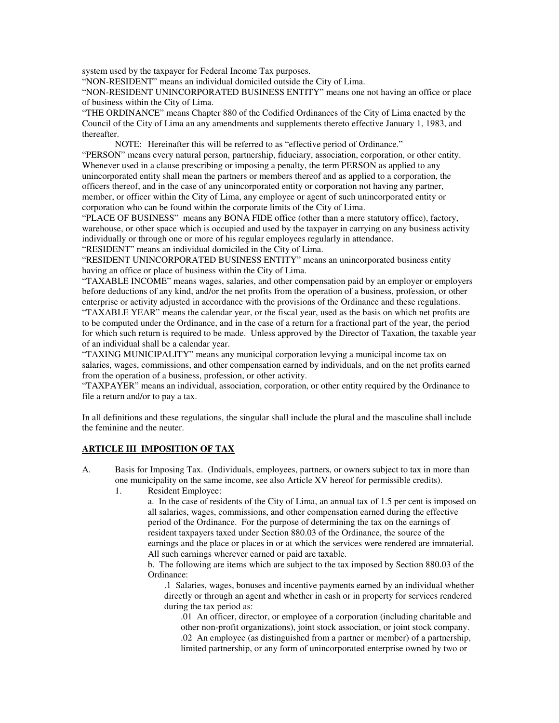system used by the taxpayer for Federal Income Tax purposes.

"NON-RESIDENT" means an individual domiciled outside the City of Lima.

"NON-RESIDENT UNINCORPORATED BUSINESS ENTITY" means one not having an office or place of business within the City of Lima.

"THE ORDINANCE" means Chapter 880 of the Codified Ordinances of the City of Lima enacted by the Council of the City of Lima an any amendments and supplements thereto effective January 1, 1983, and thereafter.

 NOTE: Hereinafter this will be referred to as "effective period of Ordinance." "PERSON" means every natural person, partnership, fiduciary, association, corporation, or other entity. Whenever used in a clause prescribing or imposing a penalty, the term PERSON as applied to any unincorporated entity shall mean the partners or members thereof and as applied to a corporation, the officers thereof, and in the case of any unincorporated entity or corporation not having any partner, member, or officer within the City of Lima, any employee or agent of such unincorporated entity or corporation who can be found within the corporate limits of the City of Lima.

"PLACE OF BUSINESS" means any BONA FIDE office (other than a mere statutory office), factory, warehouse, or other space which is occupied and used by the taxpayer in carrying on any business activity individually or through one or more of his regular employees regularly in attendance.

"RESIDENT" means an individual domiciled in the City of Lima.

"RESIDENT UNINCORPORATED BUSINESS ENTITY" means an unincorporated business entity having an office or place of business within the City of Lima.

"TAXABLE INCOME" means wages, salaries, and other compensation paid by an employer or employers before deductions of any kind, and/or the net profits from the operation of a business, profession, or other enterprise or activity adjusted in accordance with the provisions of the Ordinance and these regulations. "TAXABLE YEAR" means the calendar year, or the fiscal year, used as the basis on which net profits are to be computed under the Ordinance, and in the case of a return for a fractional part of the year, the period for which such return is required to be made. Unless approved by the Director of Taxation, the taxable year of an individual shall be a calendar year.

"TAXING MUNICIPALITY" means any municipal corporation levying a municipal income tax on salaries, wages, commissions, and other compensation earned by individuals, and on the net profits earned from the operation of a business, profession, or other activity.

"TAXPAYER" means an individual, association, corporation, or other entity required by the Ordinance to file a return and/or to pay a tax.

In all definitions and these regulations, the singular shall include the plural and the masculine shall include the feminine and the neuter.

## **ARTICLE III IMPOSITION OF TAX**

- A. Basis for Imposing Tax. (Individuals, employees, partners, or owners subject to tax in more than one municipality on the same income, see also Article XV hereof for permissible credits).
	- 1. Resident Employee:

a. In the case of residents of the City of Lima, an annual tax of 1.5 per cent is imposed on all salaries, wages, commissions, and other compensation earned during the effective period of the Ordinance. For the purpose of determining the tax on the earnings of resident taxpayers taxed under Section 880.03 of the Ordinance, the source of the earnings and the place or places in or at which the services were rendered are immaterial. All such earnings wherever earned or paid are taxable.

 b. The following are items which are subject to the tax imposed by Section 880.03 of the Ordinance:

.1 Salaries, wages, bonuses and incentive payments earned by an individual whether directly or through an agent and whether in cash or in property for services rendered during the tax period as:

.01 An officer, director, or employee of a corporation (including charitable and other non-profit organizations), joint stock association, or joint stock company. .02 An employee (as distinguished from a partner or member) of a partnership, limited partnership, or any form of unincorporated enterprise owned by two or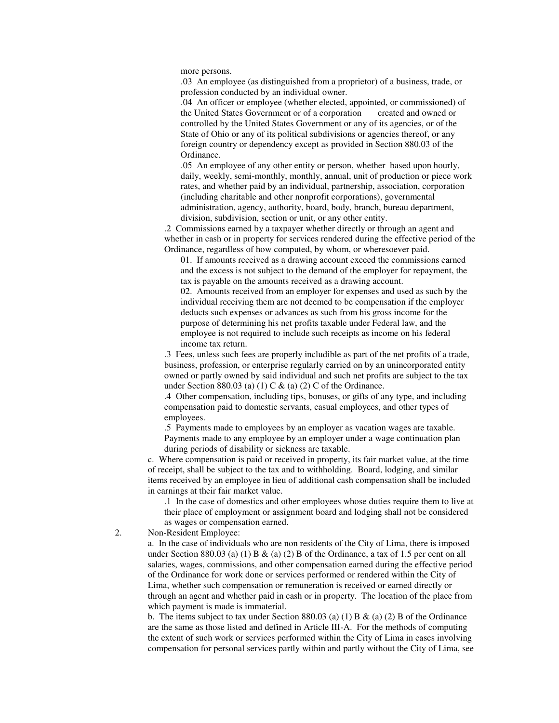more persons.

.03 An employee (as distinguished from a proprietor) of a business, trade, or profession conducted by an individual owner.

.04 An officer or employee (whether elected, appointed, or commissioned) of the United States Government or of a corporation created and owned or controlled by the United States Government or any of its agencies, or of the State of Ohio or any of its political subdivisions or agencies thereof, or any foreign country or dependency except as provided in Section 880.03 of the Ordinance.

.05 An employee of any other entity or person, whether based upon hourly, daily, weekly, semi-monthly, monthly, annual, unit of production or piece work rates, and whether paid by an individual, partnership, association, corporation (including charitable and other nonprofit corporations), governmental administration, agency, authority, board, body, branch, bureau department, division, subdivision, section or unit, or any other entity.

.2 Commissions earned by a taxpayer whether directly or through an agent and whether in cash or in property for services rendered during the effective period of the Ordinance, regardless of how computed, by whom, or wheresoever paid.

01. If amounts received as a drawing account exceed the commissions earned and the excess is not subject to the demand of the employer for repayment, the tax is payable on the amounts received as a drawing account.

02. Amounts received from an employer for expenses and used as such by the individual receiving them are not deemed to be compensation if the employer deducts such expenses or advances as such from his gross income for the purpose of determining his net profits taxable under Federal law, and the employee is not required to include such receipts as income on his federal income tax return.

.3 Fees, unless such fees are properly includible as part of the net profits of a trade, business, profession, or enterprise regularly carried on by an unincorporated entity owned or partly owned by said individual and such net profits are subject to the tax under Section 880.03 (a) (1) C & (a) (2) C of the Ordinance.

.4 Other compensation, including tips, bonuses, or gifts of any type, and including compensation paid to domestic servants, casual employees, and other types of employees.

.5 Payments made to employees by an employer as vacation wages are taxable. Payments made to any employee by an employer under a wage continuation plan during periods of disability or sickness are taxable.

c. Where compensation is paid or received in property, its fair market value, at the time of receipt, shall be subject to the tax and to withholding. Board, lodging, and similar items received by an employee in lieu of additional cash compensation shall be included in earnings at their fair market value.

.1 In the case of domestics and other employees whose duties require them to live at their place of employment or assignment board and lodging shall not be considered as wages or compensation earned.

2. Non-Resident Employee:

 a. In the case of individuals who are non residents of the City of Lima, there is imposed under Section 880.03 (a) (1) B & (a) (2) B of the Ordinance, a tax of 1.5 per cent on all salaries, wages, commissions, and other compensation earned during the effective period of the Ordinance for work done or services performed or rendered within the City of Lima, whether such compensation or remuneration is received or earned directly or through an agent and whether paid in cash or in property. The location of the place from which payment is made is immaterial.

b. The items subject to tax under Section 880.03 (a) (1) B  $\&$  (a) (2) B of the Ordinance are the same as those listed and defined in Article III-A. For the methods of computing the extent of such work or services performed within the City of Lima in cases involving compensation for personal services partly within and partly without the City of Lima, see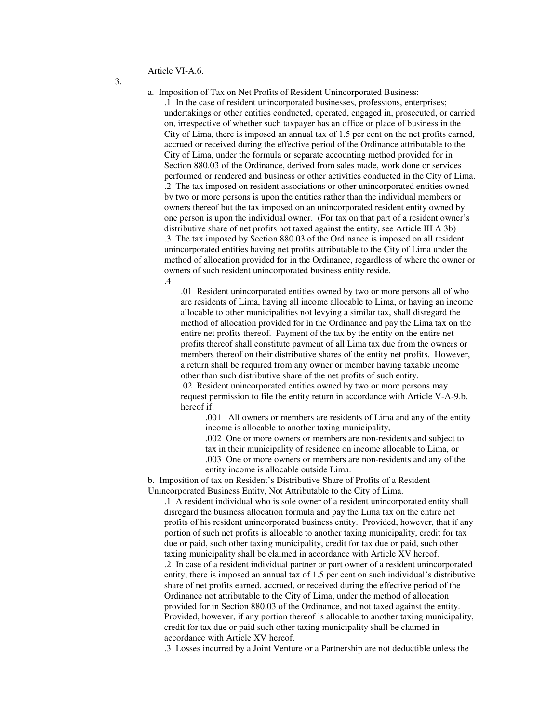Article VI-A.6.

3.

a. Imposition of Tax on Net Profits of Resident Unincorporated Business:

.1 In the case of resident unincorporated businesses, professions, enterprises; undertakings or other entities conducted, operated, engaged in, prosecuted, or carried on, irrespective of whether such taxpayer has an office or place of business in the City of Lima, there is imposed an annual tax of 1.5 per cent on the net profits earned, accrued or received during the effective period of the Ordinance attributable to the City of Lima, under the formula or separate accounting method provided for in Section 880.03 of the Ordinance, derived from sales made, work done or services performed or rendered and business or other activities conducted in the City of Lima. .2 The tax imposed on resident associations or other unincorporated entities owned by two or more persons is upon the entities rather than the individual members or owners thereof but the tax imposed on an unincorporated resident entity owned by one person is upon the individual owner. (For tax on that part of a resident owner's distributive share of net profits not taxed against the entity, see Article III A 3b) .3 The tax imposed by Section 880.03 of the Ordinance is imposed on all resident unincorporated entities having net profits attributable to the City of Lima under the method of allocation provided for in the Ordinance, regardless of where the owner or owners of such resident unincorporated business entity reside. .4

.01 Resident unincorporated entities owned by two or more persons all of who are residents of Lima, having all income allocable to Lima, or having an income allocable to other municipalities not levying a similar tax, shall disregard the method of allocation provided for in the Ordinance and pay the Lima tax on the entire net profits thereof. Payment of the tax by the entity on the entire net profits thereof shall constitute payment of all Lima tax due from the owners or members thereof on their distributive shares of the entity net profits. However, a return shall be required from any owner or member having taxable income other than such distributive share of the net profits of such entity. .02 Resident unincorporated entities owned by two or more persons may request permission to file the entity return in accordance with Article V-A-9.b. hereof if:

.001 All owners or members are residents of Lima and any of the entity income is allocable to another taxing municipality,

.002 One or more owners or members are non-residents and subject to tax in their municipality of residence on income allocable to Lima, or .003 One or more owners or members are non-residents and any of the entity income is allocable outside Lima.

b. Imposition of tax on Resident's Distributive Share of Profits of a Resident Unincorporated Business Entity, Not Attributable to the City of Lima.

.1 A resident individual who is sole owner of a resident unincorporated entity shall disregard the business allocation formula and pay the Lima tax on the entire net profits of his resident unincorporated business entity. Provided, however, that if any portion of such net profits is allocable to another taxing municipality, credit for tax due or paid, such other taxing municipality, credit for tax due or paid, such other taxing municipality shall be claimed in accordance with Article XV hereof.

.2 In case of a resident individual partner or part owner of a resident unincorporated entity, there is imposed an annual tax of 1.5 per cent on such individual's distributive share of net profits earned, accrued, or received during the effective period of the Ordinance not attributable to the City of Lima, under the method of allocation provided for in Section 880.03 of the Ordinance, and not taxed against the entity. Provided, however, if any portion thereof is allocable to another taxing municipality, credit for tax due or paid such other taxing municipality shall be claimed in accordance with Article XV hereof.

.3 Losses incurred by a Joint Venture or a Partnership are not deductible unless the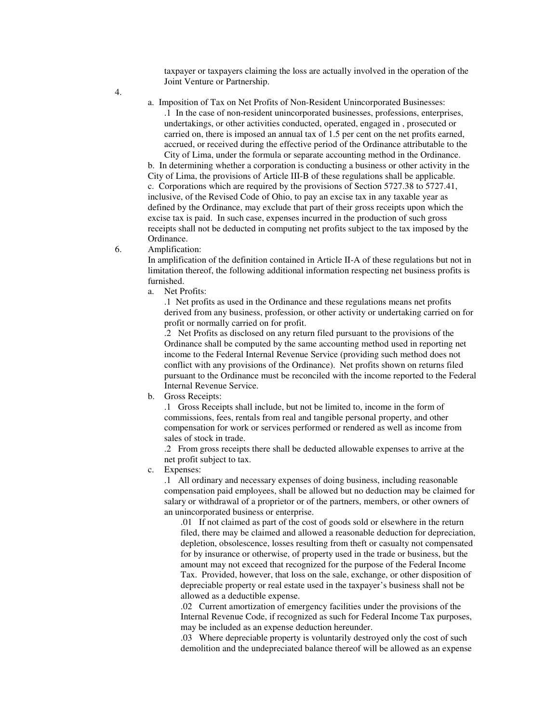taxpayer or taxpayers claiming the loss are actually involved in the operation of the Joint Venture or Partnership.

4.

a. Imposition of Tax on Net Profits of Non-Resident Unincorporated Businesses: .1 In the case of non-resident unincorporated businesses, professions, enterprises, undertakings, or other activities conducted, operated, engaged in , prosecuted or carried on, there is imposed an annual tax of 1.5 per cent on the net profits earned, accrued, or received during the effective period of the Ordinance attributable to the City of Lima, under the formula or separate accounting method in the Ordinance.

b. In determining whether a corporation is conducting a business or other activity in the City of Lima, the provisions of Article III-B of these regulations shall be applicable. c. Corporations which are required by the provisions of Section 5727.38 to 5727.41, inclusive, of the Revised Code of Ohio, to pay an excise tax in any taxable year as defined by the Ordinance, may exclude that part of their gross receipts upon which the excise tax is paid. In such case, expenses incurred in the production of such gross receipts shall not be deducted in computing net profits subject to the tax imposed by the Ordinance.

6. Amplification:

 In amplification of the definition contained in Article II-A of these regulations but not in limitation thereof, the following additional information respecting net business profits is furnished.

a. Net Profits:

 .1 Net profits as used in the Ordinance and these regulations means net profits derived from any business, profession, or other activity or undertaking carried on for profit or normally carried on for profit.

 .2 Net Profits as disclosed on any return filed pursuant to the provisions of the Ordinance shall be computed by the same accounting method used in reporting net income to the Federal Internal Revenue Service (providing such method does not conflict with any provisions of the Ordinance). Net profits shown on returns filed pursuant to the Ordinance must be reconciled with the income reported to the Federal Internal Revenue Service.

b. Gross Receipts:

 .1 Gross Receipts shall include, but not be limited to, income in the form of commissions, fees, rentals from real and tangible personal property, and other compensation for work or services performed or rendered as well as income from sales of stock in trade.

 .2 From gross receipts there shall be deducted allowable expenses to arrive at the net profit subject to tax.

c. Expenses:

 .1 All ordinary and necessary expenses of doing business, including reasonable compensation paid employees, shall be allowed but no deduction may be claimed for salary or withdrawal of a proprietor or of the partners, members, or other owners of an unincorporated business or enterprise.

.01 If not claimed as part of the cost of goods sold or elsewhere in the return filed, there may be claimed and allowed a reasonable deduction for depreciation, depletion, obsolescence, losses resulting from theft or casualty not compensated for by insurance or otherwise, of property used in the trade or business, but the amount may not exceed that recognized for the purpose of the Federal Income Tax. Provided, however, that loss on the sale, exchange, or other disposition of depreciable property or real estate used in the taxpayer's business shall not be allowed as a deductible expense.

.02 Current amortization of emergency facilities under the provisions of the Internal Revenue Code, if recognized as such for Federal Income Tax purposes, may be included as an expense deduction hereunder.

.03 Where depreciable property is voluntarily destroyed only the cost of such demolition and the undepreciated balance thereof will be allowed as an expense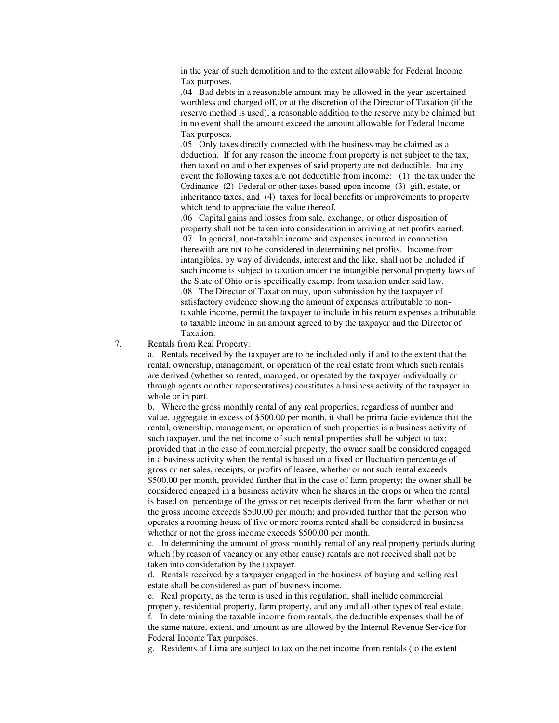in the year of such demolition and to the extent allowable for Federal Income Tax purposes.

.04 Bad debts in a reasonable amount may be allowed in the year ascertained worthless and charged off, or at the discretion of the Director of Taxation (if the reserve method is used), a reasonable addition to the reserve may be claimed but in no event shall the amount exceed the amount allowable for Federal Income Tax purposes.

.05 Only taxes directly connected with the business may be claimed as a deduction. If for any reason the income from property is not subject to the tax, then taxed on and other expenses of said property are not deductible. Ina any event the following taxes are not deductible from income: (1) the tax under the Ordinance (2) Federal or other taxes based upon income (3) gift, estate, or inheritance taxes, and (4) taxes for local benefits or improvements to property which tend to appreciate the value thereof.

.06 Capital gains and losses from sale, exchange, or other disposition of property shall not be taken into consideration in arriving at net profits earned. .07 In general, non-taxable income and expenses incurred in connection therewith are not to be considered in determining net profits. Income from intangibles, by way of dividends, interest and the like, shall not be included if such income is subject to taxation under the intangible personal property laws of the State of Ohio or is specifically exempt from taxation under said law. .08 The Director of Taxation may, upon submission by the taxpayer of satisfactory evidence showing the amount of expenses attributable to nontaxable income, permit the taxpayer to include in his return expenses attributable to taxable income in an amount agreed to by the taxpayer and the Director of Taxation.

#### 7. Rentals from Real Property:

 a. Rentals received by the taxpayer are to be included only if and to the extent that the rental, ownership, management, or operation of the real estate from which such rentals are derived (whether so rented, managed, or operated by the taxpayer individually or through agents or other representatives) constitutes a business activity of the taxpayer in whole or in part.

 b. Where the gross monthly rental of any real properties, regardless of number and value, aggregate in excess of \$500.00 per month, it shall be prima facie evidence that the rental, ownership, management, or operation of such properties is a business activity of such taxpayer, and the net income of such rental properties shall be subject to tax; provided that in the case of commercial property, the owner shall be considered engaged in a business activity when the rental is based on a fixed or fluctuation percentage of gross or net sales, receipts, or profits of leasee, whether or not such rental exceeds \$500.00 per month, provided further that in the case of farm property; the owner shall be considered engaged in a business activity when he shares in the crops or when the rental is based on percentage of the gross or net receipts derived from the farm whether or not the gross income exceeds \$500.00 per month; and provided further that the person who operates a rooming house of five or more rooms rented shall be considered in business whether or not the gross income exceeds \$500.00 per month.

 c. In determining the amount of gross monthly rental of any real property periods during which (by reason of vacancy or any other cause) rentals are not received shall not be taken into consideration by the taxpayer.

 d. Rentals received by a taxpayer engaged in the business of buying and selling real estate shall be considered as part of business income.

 e. Real property, as the term is used in this regulation, shall include commercial property, residential property, farm property, and any and all other types of real estate.

 f. In determining the taxable income from rentals, the deductible expenses shall be of the same nature, extent, and amount as are allowed by the Internal Revenue Service for Federal Income Tax purposes.

g. Residents of Lima are subject to tax on the net income from rentals (to the extent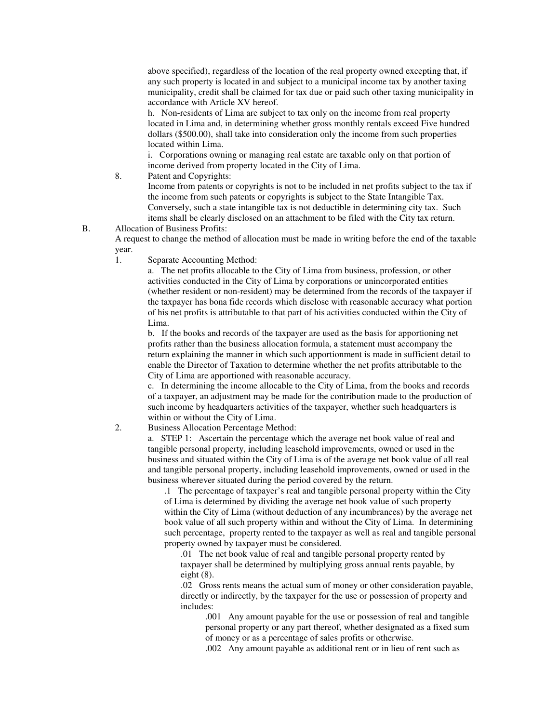above specified), regardless of the location of the real property owned excepting that, if any such property is located in and subject to a municipal income tax by another taxing municipality, credit shall be claimed for tax due or paid such other taxing municipality in accordance with Article XV hereof.

 h. Non-residents of Lima are subject to tax only on the income from real property located in Lima and, in determining whether gross monthly rentals exceed Five hundred dollars (\$500.00), shall take into consideration only the income from such properties located within Lima.

 i. Corporations owning or managing real estate are taxable only on that portion of income derived from property located in the City of Lima.

8. Patent and Copyrights:

 Income from patents or copyrights is not to be included in net profits subject to the tax if the income from such patents or copyrights is subject to the State Intangible Tax. Conversely, such a state intangible tax is not deductible in determining city tax. Such items shall be clearly disclosed on an attachment to be filed with the City tax return.

B. Allocation of Business Profits:

 A request to change the method of allocation must be made in writing before the end of the taxable year.

1. Separate Accounting Method:

 a. The net profits allocable to the City of Lima from business, profession, or other activities conducted in the City of Lima by corporations or unincorporated entities (whether resident or non-resident) may be determined from the records of the taxpayer if the taxpayer has bona fide records which disclose with reasonable accuracy what portion of his net profits is attributable to that part of his activities conducted within the City of Lima.

 b. If the books and records of the taxpayer are used as the basis for apportioning net profits rather than the business allocation formula, a statement must accompany the return explaining the manner in which such apportionment is made in sufficient detail to enable the Director of Taxation to determine whether the net profits attributable to the City of Lima are apportioned with reasonable accuracy.

 c. In determining the income allocable to the City of Lima, from the books and records of a taxpayer, an adjustment may be made for the contribution made to the production of such income by headquarters activities of the taxpayer, whether such headquarters is within or without the City of Lima.

2. Business Allocation Percentage Method:

 a. STEP 1: Ascertain the percentage which the average net book value of real and tangible personal property, including leasehold improvements, owned or used in the business and situated within the City of Lima is of the average net book value of all real and tangible personal property, including leasehold improvements, owned or used in the business wherever situated during the period covered by the return.

 .1 The percentage of taxpayer's real and tangible personal property within the City of Lima is determined by dividing the average net book value of such property within the City of Lima (without deduction of any incumbrances) by the average net book value of all such property within and without the City of Lima. In determining such percentage, property rented to the taxpayer as well as real and tangible personal property owned by taxpayer must be considered.

 .01 The net book value of real and tangible personal property rented by taxpayer shall be determined by multiplying gross annual rents payable, by eight (8).

.02 Gross rents means the actual sum of money or other consideration payable, directly or indirectly, by the taxpayer for the use or possession of property and includes:

 .001 Any amount payable for the use or possession of real and tangible personal property or any part thereof, whether designated as a fixed sum of money or as a percentage of sales profits or otherwise.

.002 Any amount payable as additional rent or in lieu of rent such as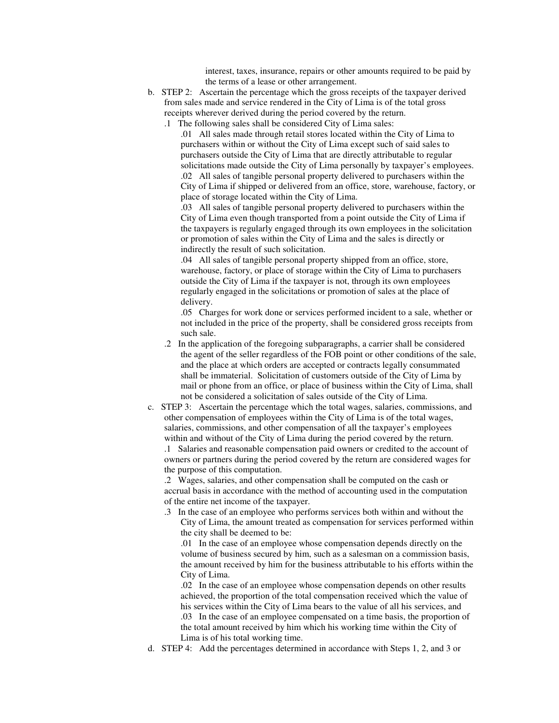interest, taxes, insurance, repairs or other amounts required to be paid by the terms of a lease or other arrangement.

- b. STEP 2: Ascertain the percentage which the gross receipts of the taxpayer derived from sales made and service rendered in the City of Lima is of the total gross receipts wherever derived during the period covered by the return.
	- .1 The following sales shall be considered City of Lima sales:
		- .01 All sales made through retail stores located within the City of Lima to purchasers within or without the City of Lima except such of said sales to purchasers outside the City of Lima that are directly attributable to regular solicitations made outside the City of Lima personally by taxpayer's employees. .02 All sales of tangible personal property delivered to purchasers within the City of Lima if shipped or delivered from an office, store, warehouse, factory, or place of storage located within the City of Lima.

 .03 All sales of tangible personal property delivered to purchasers within the City of Lima even though transported from a point outside the City of Lima if the taxpayers is regularly engaged through its own employees in the solicitation or promotion of sales within the City of Lima and the sales is directly or indirectly the result of such solicitation.

 .04 All sales of tangible personal property shipped from an office, store, warehouse, factory, or place of storage within the City of Lima to purchasers outside the City of Lima if the taxpayer is not, through its own employees regularly engaged in the solicitations or promotion of sales at the place of delivery.

 .05 Charges for work done or services performed incident to a sale, whether or not included in the price of the property, shall be considered gross receipts from such sale.

- .2 In the application of the foregoing subparagraphs, a carrier shall be considered the agent of the seller regardless of the FOB point or other conditions of the sale, and the place at which orders are accepted or contracts legally consummated shall be immaterial. Solicitation of customers outside of the City of Lima by mail or phone from an office, or place of business within the City of Lima, shall not be considered a solicitation of sales outside of the City of Lima.
- c. STEP 3: Ascertain the percentage which the total wages, salaries, commissions, and other compensation of employees within the City of Lima is of the total wages, salaries, commissions, and other compensation of all the taxpayer's employees within and without of the City of Lima during the period covered by the return. .1 Salaries and reasonable compensation paid owners or credited to the account of owners or partners during the period covered by the return are considered wages for the purpose of this computation.

 .2 Wages, salaries, and other compensation shall be computed on the cash or accrual basis in accordance with the method of accounting used in the computation of the entire net income of the taxpayer.

.3 In the case of an employee who performs services both within and without the City of Lima, the amount treated as compensation for services performed within the city shall be deemed to be:

 .01 In the case of an employee whose compensation depends directly on the volume of business secured by him, such as a salesman on a commission basis, the amount received by him for the business attributable to his efforts within the City of Lima.

 .02 In the case of an employee whose compensation depends on other results achieved, the proportion of the total compensation received which the value of his services within the City of Lima bears to the value of all his services, and .03 In the case of an employee compensated on a time basis, the proportion of the total amount received by him which his working time within the City of Lima is of his total working time.

d. STEP 4: Add the percentages determined in accordance with Steps 1, 2, and 3 or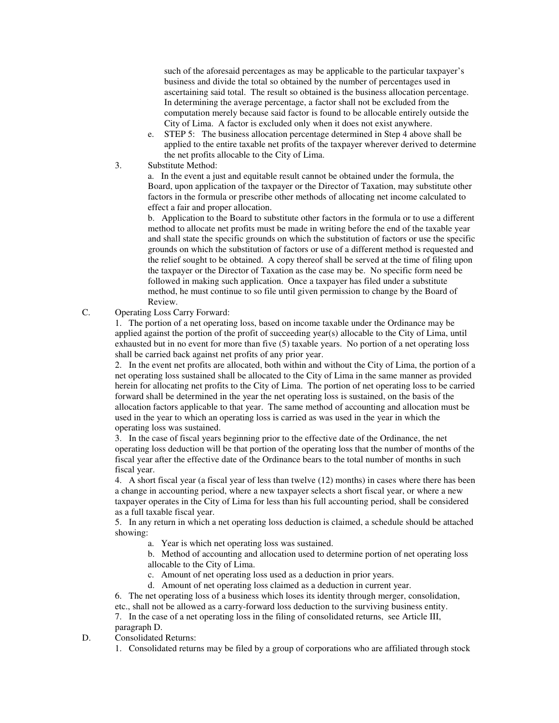such of the aforesaid percentages as may be applicable to the particular taxpayer's business and divide the total so obtained by the number of percentages used in ascertaining said total. The result so obtained is the business allocation percentage. In determining the average percentage, a factor shall not be excluded from the computation merely because said factor is found to be allocable entirely outside the City of Lima. A factor is excluded only when it does not exist anywhere.

- e. STEP 5: The business allocation percentage determined in Step 4 above shall be applied to the entire taxable net profits of the taxpayer wherever derived to determine the net profits allocable to the City of Lima.
- 3. Substitute Method:

 a. In the event a just and equitable result cannot be obtained under the formula, the Board, upon application of the taxpayer or the Director of Taxation, may substitute other factors in the formula or prescribe other methods of allocating net income calculated to effect a fair and proper allocation.

 b. Application to the Board to substitute other factors in the formula or to use a different method to allocate net profits must be made in writing before the end of the taxable year and shall state the specific grounds on which the substitution of factors or use the specific grounds on which the substitution of factors or use of a different method is requested and the relief sought to be obtained. A copy thereof shall be served at the time of filing upon the taxpayer or the Director of Taxation as the case may be. No specific form need be followed in making such application. Once a taxpayer has filed under a substitute method, he must continue to so file until given permission to change by the Board of Review.

C. Operating Loss Carry Forward:

 1. The portion of a net operating loss, based on income taxable under the Ordinance may be applied against the portion of the profit of succeeding year(s) allocable to the City of Lima, until exhausted but in no event for more than five (5) taxable years. No portion of a net operating loss shall be carried back against net profits of any prior year.

 2. In the event net profits are allocated, both within and without the City of Lima, the portion of a net operating loss sustained shall be allocated to the City of Lima in the same manner as provided herein for allocating net profits to the City of Lima. The portion of net operating loss to be carried forward shall be determined in the year the net operating loss is sustained, on the basis of the allocation factors applicable to that year. The same method of accounting and allocation must be used in the year to which an operating loss is carried as was used in the year in which the operating loss was sustained.

 3. In the case of fiscal years beginning prior to the effective date of the Ordinance, the net operating loss deduction will be that portion of the operating loss that the number of months of the fiscal year after the effective date of the Ordinance bears to the total number of months in such fiscal year.

 4. A short fiscal year (a fiscal year of less than twelve (12) months) in cases where there has been a change in accounting period, where a new taxpayer selects a short fiscal year, or where a new taxpayer operates in the City of Lima for less than his full accounting period, shall be considered as a full taxable fiscal year.

 5. In any return in which a net operating loss deduction is claimed, a schedule should be attached showing:

a. Year is which net operating loss was sustained.

 b. Method of accounting and allocation used to determine portion of net operating loss allocable to the City of Lima.

- c. Amount of net operating loss used as a deduction in prior years.
- d. Amount of net operating loss claimed as a deduction in current year.

6. The net operating loss of a business which loses its identity through merger, consolidation, etc., shall not be allowed as a carry-forward loss deduction to the surviving business entity. 7. In the case of a net operating loss in the filing of consolidated returns, see Article III, paragraph D.

D. Consolidated Returns:

1. Consolidated returns may be filed by a group of corporations who are affiliated through stock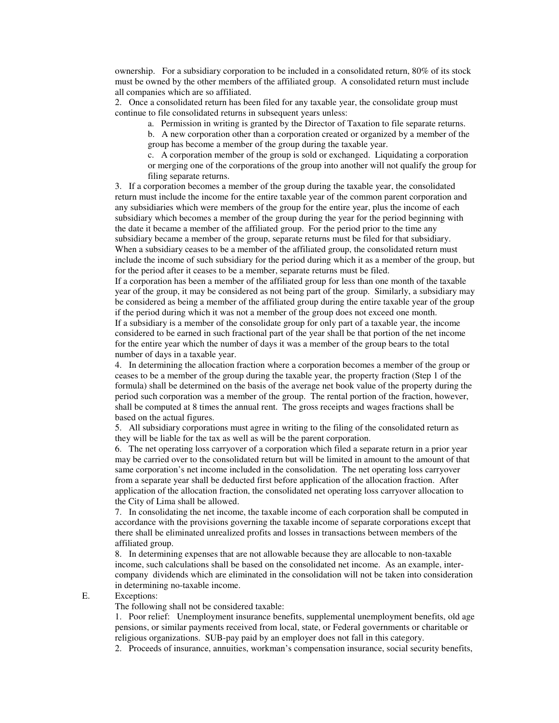ownership. For a subsidiary corporation to be included in a consolidated return, 80% of its stock must be owned by the other members of the affiliated group. A consolidated return must include all companies which are so affiliated.

 2. Once a consolidated return has been filed for any taxable year, the consolidate group must continue to file consolidated returns in subsequent years unless:

a. Permission in writing is granted by the Director of Taxation to file separate returns.

 b. A new corporation other than a corporation created or organized by a member of the group has become a member of the group during the taxable year.

 c. A corporation member of the group is sold or exchanged. Liquidating a corporation or merging one of the corporations of the group into another will not qualify the group for filing separate returns.

3. If a corporation becomes a member of the group during the taxable year, the consolidated return must include the income for the entire taxable year of the common parent corporation and any subsidiaries which were members of the group for the entire year, plus the income of each subsidiary which becomes a member of the group during the year for the period beginning with the date it became a member of the affiliated group. For the period prior to the time any subsidiary became a member of the group, separate returns must be filed for that subsidiary. When a subsidiary ceases to be a member of the affiliated group, the consolidated return must include the income of such subsidiary for the period during which it as a member of the group, but for the period after it ceases to be a member, separate returns must be filed.

If a corporation has been a member of the affiliated group for less than one month of the taxable year of the group, it may be considered as not being part of the group. Similarly, a subsidiary may be considered as being a member of the affiliated group during the entire taxable year of the group if the period during which it was not a member of the group does not exceed one month. If a subsidiary is a member of the consolidate group for only part of a taxable year, the income considered to be earned in such fractional part of the year shall be that portion of the net income for the entire year which the number of days it was a member of the group bears to the total number of days in a taxable year.

4. In determining the allocation fraction where a corporation becomes a member of the group or ceases to be a member of the group during the taxable year, the property fraction (Step 1 of the formula) shall be determined on the basis of the average net book value of the property during the period such corporation was a member of the group. The rental portion of the fraction, however, shall be computed at 8 times the annual rent. The gross receipts and wages fractions shall be based on the actual figures.

5. All subsidiary corporations must agree in writing to the filing of the consolidated return as they will be liable for the tax as well as will be the parent corporation.

6. The net operating loss carryover of a corporation which filed a separate return in a prior year may be carried over to the consolidated return but will be limited in amount to the amount of that same corporation's net income included in the consolidation. The net operating loss carryover from a separate year shall be deducted first before application of the allocation fraction. After application of the allocation fraction, the consolidated net operating loss carryover allocation to the City of Lima shall be allowed.

7. In consolidating the net income, the taxable income of each corporation shall be computed in accordance with the provisions governing the taxable income of separate corporations except that there shall be eliminated unrealized profits and losses in transactions between members of the affiliated group.

8. In determining expenses that are not allowable because they are allocable to non-taxable income, such calculations shall be based on the consolidated net income. As an example, intercompany dividends which are eliminated in the consolidation will not be taken into consideration in determining no-taxable income.

#### E. Exceptions:

The following shall not be considered taxable:

 1. Poor relief: Unemployment insurance benefits, supplemental unemployment benefits, old age pensions, or similar payments received from local, state, or Federal governments or charitable or religious organizations. SUB-pay paid by an employer does not fall in this category.

2. Proceeds of insurance, annuities, workman's compensation insurance, social security benefits,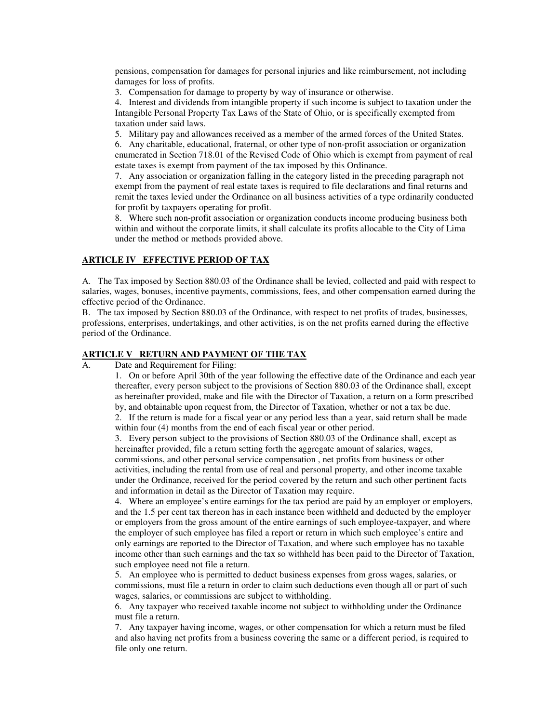pensions, compensation for damages for personal injuries and like reimbursement, not including damages for loss of profits.

3. Compensation for damage to property by way of insurance or otherwise.

 4. Interest and dividends from intangible property if such income is subject to taxation under the Intangible Personal Property Tax Laws of the State of Ohio, or is specifically exempted from taxation under said laws.

5. Military pay and allowances received as a member of the armed forces of the United States.

 6. Any charitable, educational, fraternal, or other type of non-profit association or organization enumerated in Section 718.01 of the Revised Code of Ohio which is exempt from payment of real estate taxes is exempt from payment of the tax imposed by this Ordinance.

 7. Any association or organization falling in the category listed in the preceding paragraph not exempt from the payment of real estate taxes is required to file declarations and final returns and remit the taxes levied under the Ordinance on all business activities of a type ordinarily conducted for profit by taxpayers operating for profit.

 8. Where such non-profit association or organization conducts income producing business both within and without the corporate limits, it shall calculate its profits allocable to the City of Lima under the method or methods provided above.

#### **ARTICLE IV EFFECTIVE PERIOD OF TAX**

A. The Tax imposed by Section 880.03 of the Ordinance shall be levied, collected and paid with respect to salaries, wages, bonuses, incentive payments, commissions, fees, and other compensation earned during the effective period of the Ordinance.

B. The tax imposed by Section 880.03 of the Ordinance, with respect to net profits of trades, businesses, professions, enterprises, undertakings, and other activities, is on the net profits earned during the effective period of the Ordinance.

#### **ARTICLE V RETURN AND PAYMENT OF THE TAX**

A. Date and Requirement for Filing:

 1. On or before April 30th of the year following the effective date of the Ordinance and each year thereafter, every person subject to the provisions of Section 880.03 of the Ordinance shall, except as hereinafter provided, make and file with the Director of Taxation, a return on a form prescribed by, and obtainable upon request from, the Director of Taxation, whether or not a tax be due.

 2. If the return is made for a fiscal year or any period less than a year, said return shall be made within four (4) months from the end of each fiscal year or other period.

 3. Every person subject to the provisions of Section 880.03 of the Ordinance shall, except as hereinafter provided, file a return setting forth the aggregate amount of salaries, wages, commissions, and other personal service compensation , net profits from business or other activities, including the rental from use of real and personal property, and other income taxable under the Ordinance, received for the period covered by the return and such other pertinent facts and information in detail as the Director of Taxation may require.

 4. Where an employee's entire earnings for the tax period are paid by an employer or employers, and the 1.5 per cent tax thereon has in each instance been withheld and deducted by the employer or employers from the gross amount of the entire earnings of such employee-taxpayer, and where the employer of such employee has filed a report or return in which such employee's entire and only earnings are reported to the Director of Taxation, and where such employee has no taxable income other than such earnings and the tax so withheld has been paid to the Director of Taxation, such employee need not file a return.

 5. An employee who is permitted to deduct business expenses from gross wages, salaries, or commissions, must file a return in order to claim such deductions even though all or part of such wages, salaries, or commissions are subject to withholding.

 6. Any taxpayer who received taxable income not subject to withholding under the Ordinance must file a return.

 7. Any taxpayer having income, wages, or other compensation for which a return must be filed and also having net profits from a business covering the same or a different period, is required to file only one return.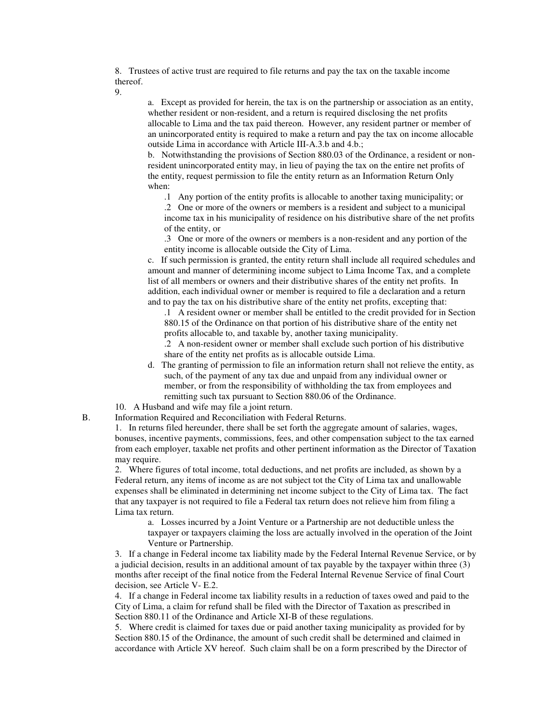8. Trustees of active trust are required to file returns and pay the tax on the taxable income thereof.

9.

 a. Except as provided for herein, the tax is on the partnership or association as an entity, whether resident or non-resident, and a return is required disclosing the net profits allocable to Lima and the tax paid thereon. However, any resident partner or member of an unincorporated entity is required to make a return and pay the tax on income allocable outside Lima in accordance with Article III-A.3.b and 4.b.;

 b. Notwithstanding the provisions of Section 880.03 of the Ordinance, a resident or nonresident unincorporated entity may, in lieu of paying the tax on the entire net profits of the entity, request permission to file the entity return as an Information Return Only when:

.1 Any portion of the entity profits is allocable to another taxing municipality; or

 .2 One or more of the owners or members is a resident and subject to a municipal income tax in his municipality of residence on his distributive share of the net profits of the entity, or

 .3 One or more of the owners or members is a non-resident and any portion of the entity income is allocable outside the City of Lima.

c. If such permission is granted, the entity return shall include all required schedules and amount and manner of determining income subject to Lima Income Tax, and a complete list of all members or owners and their distributive shares of the entity net profits. In addition, each individual owner or member is required to file a declaration and a return and to pay the tax on his distributive share of the entity net profits, excepting that:

 .1 A resident owner or member shall be entitled to the credit provided for in Section 880.15 of the Ordinance on that portion of his distributive share of the entity net profits allocable to, and taxable by, another taxing municipality.

 .2 A non-resident owner or member shall exclude such portion of his distributive share of the entity net profits as is allocable outside Lima.

- d. The granting of permission to file an information return shall not relieve the entity, as such, of the payment of any tax due and unpaid from any individual owner or member, or from the responsibility of withholding the tax from employees and remitting such tax pursuant to Section 880.06 of the Ordinance.
- 10. A Husband and wife may file a joint return.
- B. Information Required and Reconciliation with Federal Returns.

 1. In returns filed hereunder, there shall be set forth the aggregate amount of salaries, wages, bonuses, incentive payments, commissions, fees, and other compensation subject to the tax earned from each employer, taxable net profits and other pertinent information as the Director of Taxation may require.

 2. Where figures of total income, total deductions, and net profits are included, as shown by a Federal return, any items of income as are not subject tot the City of Lima tax and unallowable expenses shall be eliminated in determining net income subject to the City of Lima tax. The fact that any taxpayer is not required to file a Federal tax return does not relieve him from filing a Lima tax return.

 a. Losses incurred by a Joint Venture or a Partnership are not deductible unless the taxpayer or taxpayers claiming the loss are actually involved in the operation of the Joint Venture or Partnership.

3. If a change in Federal income tax liability made by the Federal Internal Revenue Service, or by a judicial decision, results in an additional amount of tax payable by the taxpayer within three (3) months after receipt of the final notice from the Federal Internal Revenue Service of final Court decision, see Article V- E.2.

4. If a change in Federal income tax liability results in a reduction of taxes owed and paid to the City of Lima, a claim for refund shall be filed with the Director of Taxation as prescribed in Section 880.11 of the Ordinance and Article XI-B of these regulations.

5. Where credit is claimed for taxes due or paid another taxing municipality as provided for by Section 880.15 of the Ordinance, the amount of such credit shall be determined and claimed in accordance with Article XV hereof. Such claim shall be on a form prescribed by the Director of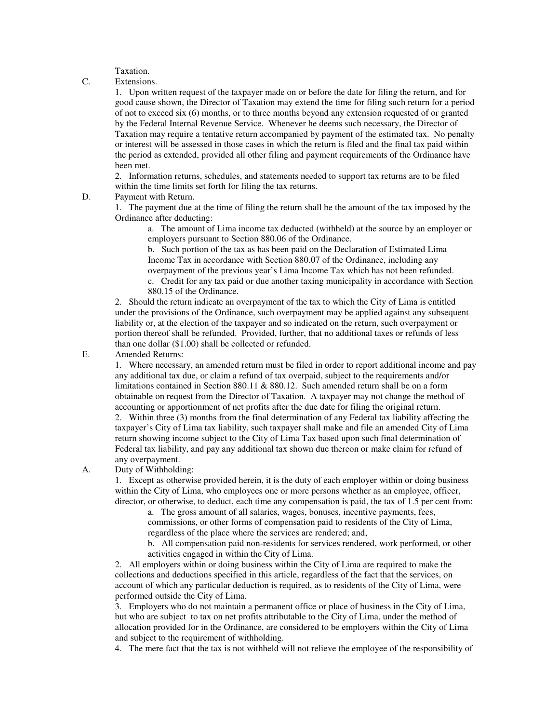Taxation.

C. Extensions.

 1. Upon written request of the taxpayer made on or before the date for filing the return, and for good cause shown, the Director of Taxation may extend the time for filing such return for a period of not to exceed six (6) months, or to three months beyond any extension requested of or granted by the Federal Internal Revenue Service. Whenever he deems such necessary, the Director of Taxation may require a tentative return accompanied by payment of the estimated tax. No penalty or interest will be assessed in those cases in which the return is filed and the final tax paid within the period as extended, provided all other filing and payment requirements of the Ordinance have been met.

 2. Information returns, schedules, and statements needed to support tax returns are to be filed within the time limits set forth for filing the tax returns.

## D. Payment with Return.

 1. The payment due at the time of filing the return shall be the amount of the tax imposed by the Ordinance after deducting:

 a. The amount of Lima income tax deducted (withheld) at the source by an employer or employers pursuant to Section 880.06 of the Ordinance.

 b. Such portion of the tax as has been paid on the Declaration of Estimated Lima Income Tax in accordance with Section 880.07 of the Ordinance, including any overpayment of the previous year's Lima Income Tax which has not been refunded.

 c. Credit for any tax paid or due another taxing municipality in accordance with Section 880.15 of the Ordinance.

2. Should the return indicate an overpayment of the tax to which the City of Lima is entitled under the provisions of the Ordinance, such overpayment may be applied against any subsequent liability or, at the election of the taxpayer and so indicated on the return, such overpayment or portion thereof shall be refunded. Provided, further, that no additional taxes or refunds of less than one dollar (\$1.00) shall be collected or refunded.

E. Amended Returns:

 1. Where necessary, an amended return must be filed in order to report additional income and pay any additional tax due, or claim a refund of tax overpaid, subject to the requirements and/or limitations contained in Section 880.11 & 880.12. Such amended return shall be on a form obtainable on request from the Director of Taxation. A taxpayer may not change the method of accounting or apportionment of net profits after the due date for filing the original return.

 2. Within three (3) months from the final determination of any Federal tax liability affecting the taxpayer's City of Lima tax liability, such taxpayer shall make and file an amended City of Lima return showing income subject to the City of Lima Tax based upon such final determination of Federal tax liability, and pay any additional tax shown due thereon or make claim for refund of any overpayment.

A. Duty of Withholding:

 1. Except as otherwise provided herein, it is the duty of each employer within or doing business within the City of Lima, who employees one or more persons whether as an employee, officer, director, or otherwise, to deduct, each time any compensation is paid, the tax of 1.5 per cent from:

 a. The gross amount of all salaries, wages, bonuses, incentive payments, fees, commissions, or other forms of compensation paid to residents of the City of Lima, regardless of the place where the services are rendered; and,

 b. All compensation paid non-residents for services rendered, work performed, or other activities engaged in within the City of Lima.

2. All employers within or doing business within the City of Lima are required to make the collections and deductions specified in this article, regardless of the fact that the services, on account of which any particular deduction is required, as to residents of the City of Lima, were performed outside the City of Lima.

3. Employers who do not maintain a permanent office or place of business in the City of Lima, but who are subject to tax on net profits attributable to the City of Lima, under the method of allocation provided for in the Ordinance, are considered to be employers within the City of Lima and subject to the requirement of withholding.

4. The mere fact that the tax is not withheld will not relieve the employee of the responsibility of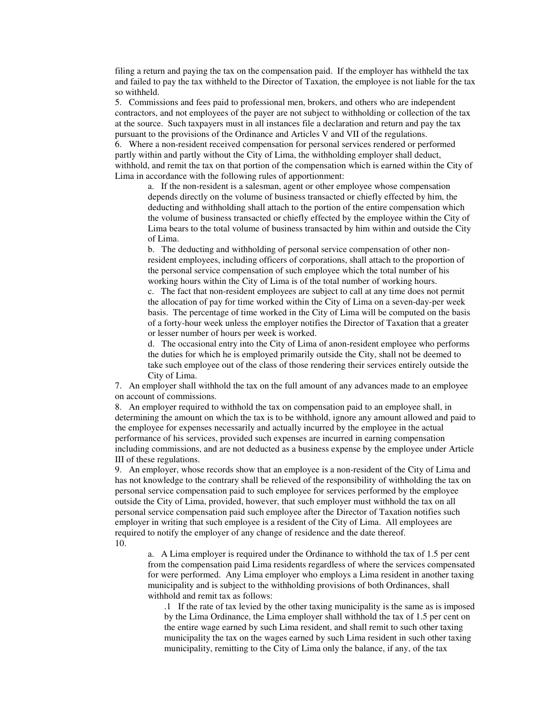filing a return and paying the tax on the compensation paid. If the employer has withheld the tax and failed to pay the tax withheld to the Director of Taxation, the employee is not liable for the tax so withheld.

5. Commissions and fees paid to professional men, brokers, and others who are independent contractors, and not employees of the payer are not subject to withholding or collection of the tax at the source. Such taxpayers must in all instances file a declaration and return and pay the tax pursuant to the provisions of the Ordinance and Articles V and VII of the regulations.

6. Where a non-resident received compensation for personal services rendered or performed partly within and partly without the City of Lima, the withholding employer shall deduct, withhold, and remit the tax on that portion of the compensation which is earned within the City of Lima in accordance with the following rules of apportionment:

 a. If the non-resident is a salesman, agent or other employee whose compensation depends directly on the volume of business transacted or chiefly effected by him, the deducting and withholding shall attach to the portion of the entire compensation which the volume of business transacted or chiefly effected by the employee within the City of Lima bears to the total volume of business transacted by him within and outside the City of Lima.

 b. The deducting and withholding of personal service compensation of other nonresident employees, including officers of corporations, shall attach to the proportion of the personal service compensation of such employee which the total number of his working hours within the City of Lima is of the total number of working hours.

 c. The fact that non-resident employees are subject to call at any time does not permit the allocation of pay for time worked within the City of Lima on a seven-day-per week basis. The percentage of time worked in the City of Lima will be computed on the basis of a forty-hour week unless the employer notifies the Director of Taxation that a greater or lesser number of hours per week is worked.

 d. The occasional entry into the City of Lima of anon-resident employee who performs the duties for which he is employed primarily outside the City, shall not be deemed to take such employee out of the class of those rendering their services entirely outside the City of Lima.

7. An employer shall withhold the tax on the full amount of any advances made to an employee on account of commissions.

8. An employer required to withhold the tax on compensation paid to an employee shall, in determining the amount on which the tax is to be withhold, ignore any amount allowed and paid to the employee for expenses necessarily and actually incurred by the employee in the actual performance of his services, provided such expenses are incurred in earning compensation including commissions, and are not deducted as a business expense by the employee under Article III of these regulations.

9. An employer, whose records show that an employee is a non-resident of the City of Lima and has not knowledge to the contrary shall be relieved of the responsibility of withholding the tax on personal service compensation paid to such employee for services performed by the employee outside the City of Lima, provided, however, that such employer must withhold the tax on all personal service compensation paid such employee after the Director of Taxation notifies such employer in writing that such employee is a resident of the City of Lima. All employees are required to notify the employer of any change of residence and the date thereof. 10.

 a. A Lima employer is required under the Ordinance to withhold the tax of 1.5 per cent from the compensation paid Lima residents regardless of where the services compensated for were performed. Any Lima employer who employs a Lima resident in another taxing municipality and is subject to the withholding provisions of both Ordinances, shall withhold and remit tax as follows:

.1 If the rate of tax levied by the other taxing municipality is the same as is imposed by the Lima Ordinance, the Lima employer shall withhold the tax of 1.5 per cent on the entire wage earned by such Lima resident, and shall remit to such other taxing municipality the tax on the wages earned by such Lima resident in such other taxing municipality, remitting to the City of Lima only the balance, if any, of the tax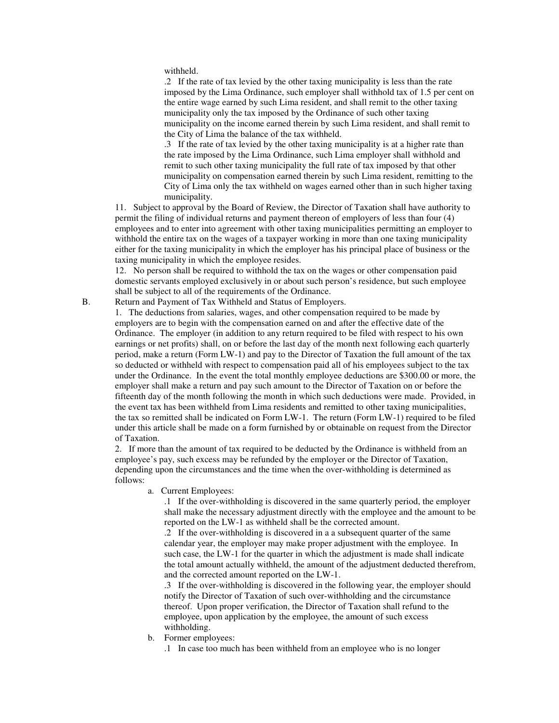withheld.

.2 If the rate of tax levied by the other taxing municipality is less than the rate imposed by the Lima Ordinance, such employer shall withhold tax of 1.5 per cent on the entire wage earned by such Lima resident, and shall remit to the other taxing municipality only the tax imposed by the Ordinance of such other taxing municipality on the income earned therein by such Lima resident, and shall remit to the City of Lima the balance of the tax withheld.

.3 If the rate of tax levied by the other taxing municipality is at a higher rate than the rate imposed by the Lima Ordinance, such Lima employer shall withhold and remit to such other taxing municipality the full rate of tax imposed by that other municipality on compensation earned therein by such Lima resident, remitting to the City of Lima only the tax withheld on wages earned other than in such higher taxing municipality.

11. Subject to approval by the Board of Review, the Director of Taxation shall have authority to permit the filing of individual returns and payment thereon of employers of less than four (4) employees and to enter into agreement with other taxing municipalities permitting an employer to withhold the entire tax on the wages of a taxpayer working in more than one taxing municipality either for the taxing municipality in which the employer has his principal place of business or the taxing municipality in which the employee resides.

12. No person shall be required to withhold the tax on the wages or other compensation paid domestic servants employed exclusively in or about such person's residence, but such employee shall be subject to all of the requirements of the Ordinance.

B. Return and Payment of Tax Withheld and Status of Employers.

1. The deductions from salaries, wages, and other compensation required to be made by employers are to begin with the compensation earned on and after the effective date of the Ordinance. The employer (in addition to any return required to be filed with respect to his own earnings or net profits) shall, on or before the last day of the month next following each quarterly period, make a return (Form LW-1) and pay to the Director of Taxation the full amount of the tax so deducted or withheld with respect to compensation paid all of his employees subject to the tax under the Ordinance. In the event the total monthly employee deductions are \$300.00 or more, the employer shall make a return and pay such amount to the Director of Taxation on or before the fifteenth day of the month following the month in which such deductions were made. Provided, in the event tax has been withheld from Lima residents and remitted to other taxing municipalities, the tax so remitted shall be indicated on Form LW-1. The return (Form LW-1) required to be filed under this article shall be made on a form furnished by or obtainable on request from the Director of Taxation.

2. If more than the amount of tax required to be deducted by the Ordinance is withheld from an employee's pay, such excess may be refunded by the employer or the Director of Taxation, depending upon the circumstances and the time when the over-withholding is determined as follows:

a. Current Employees:

.1 If the over-withholding is discovered in the same quarterly period, the employer shall make the necessary adjustment directly with the employee and the amount to be reported on the LW-1 as withheld shall be the corrected amount.

.2 If the over-withholding is discovered in a a subsequent quarter of the same calendar year, the employer may make proper adjustment with the employee. In such case, the LW-1 for the quarter in which the adjustment is made shall indicate the total amount actually withheld, the amount of the adjustment deducted therefrom, and the corrected amount reported on the LW-1.

.3 If the over-withholding is discovered in the following year, the employer should notify the Director of Taxation of such over-withholding and the circumstance thereof. Upon proper verification, the Director of Taxation shall refund to the employee, upon application by the employee, the amount of such excess withholding.

b. Former employees:

.1 In case too much has been withheld from an employee who is no longer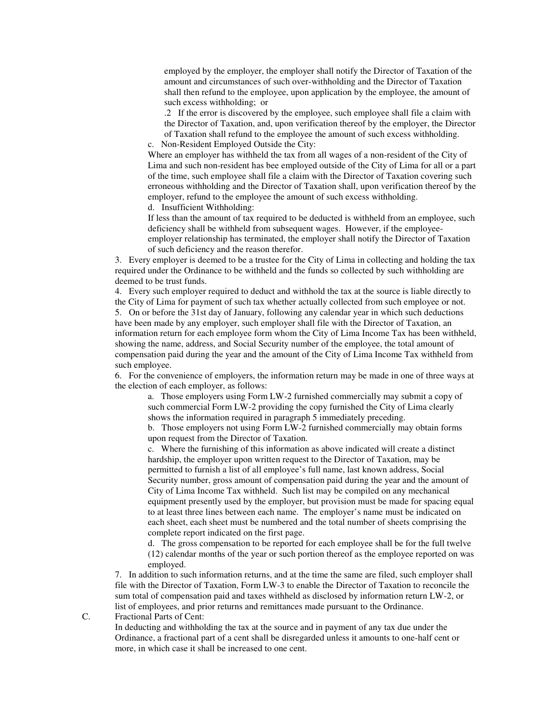employed by the employer, the employer shall notify the Director of Taxation of the amount and circumstances of such over-withholding and the Director of Taxation shall then refund to the employee, upon application by the employee, the amount of such excess withholding; or

.2 If the error is discovered by the employee, such employee shall file a claim with the Director of Taxation, and, upon verification thereof by the employer, the Director of Taxation shall refund to the employee the amount of such excess withholding.

Non-Resident Employed Outside the City:

Where an employer has withheld the tax from all wages of a non-resident of the City of Lima and such non-resident has bee employed outside of the City of Lima for all or a part of the time, such employee shall file a claim with the Director of Taxation covering such erroneous withholding and the Director of Taxation shall, upon verification thereof by the employer, refund to the employee the amount of such excess withholding. d. Insufficient Withholding:

If less than the amount of tax required to be deducted is withheld from an employee, such deficiency shall be withheld from subsequent wages. However, if the employeeemployer relationship has terminated, the employer shall notify the Director of Taxation of such deficiency and the reason therefor.

3. Every employer is deemed to be a trustee for the City of Lima in collecting and holding the tax required under the Ordinance to be withheld and the funds so collected by such withholding are deemed to be trust funds.

4. Every such employer required to deduct and withhold the tax at the source is liable directly to the City of Lima for payment of such tax whether actually collected from such employee or not. 5. On or before the 31st day of January, following any calendar year in which such deductions have been made by any employer, such employer shall file with the Director of Taxation, an information return for each employee form whom the City of Lima Income Tax has been withheld, showing the name, address, and Social Security number of the employee, the total amount of compensation paid during the year and the amount of the City of Lima Income Tax withheld from such employee.

6. For the convenience of employers, the information return may be made in one of three ways at the election of each employer, as follows:

 a. Those employers using Form LW-2 furnished commercially may submit a copy of such commercial Form LW-2 providing the copy furnished the City of Lima clearly shows the information required in paragraph 5 immediately preceding.

 b. Those employers not using Form LW-2 furnished commercially may obtain forms upon request from the Director of Taxation.

 c. Where the furnishing of this information as above indicated will create a distinct hardship, the employer upon written request to the Director of Taxation, may be permitted to furnish a list of all employee's full name, last known address, Social Security number, gross amount of compensation paid during the year and the amount of City of Lima Income Tax withheld. Such list may be compiled on any mechanical equipment presently used by the employer, but provision must be made for spacing equal to at least three lines between each name. The employer's name must be indicated on each sheet, each sheet must be numbered and the total number of sheets comprising the complete report indicated on the first page.

 d. The gross compensation to be reported for each employee shall be for the full twelve (12) calendar months of the year or such portion thereof as the employee reported on was employed.

7. In addition to such information returns, and at the time the same are filed, such employer shall file with the Director of Taxation, Form LW-3 to enable the Director of Taxation to reconcile the sum total of compensation paid and taxes withheld as disclosed by information return LW-2, or list of employees, and prior returns and remittances made pursuant to the Ordinance.

C. Fractional Parts of Cent:

 In deducting and withholding the tax at the source and in payment of any tax due under the Ordinance, a fractional part of a cent shall be disregarded unless it amounts to one-half cent or more, in which case it shall be increased to one cent.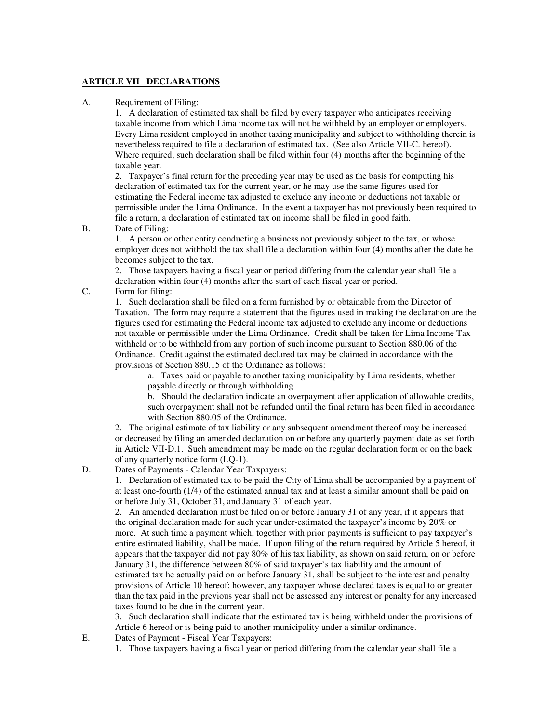### **ARTICLE VII DECLARATIONS**

#### A. Requirement of Filing:

1. A declaration of estimated tax shall be filed by every taxpayer who anticipates receiving taxable income from which Lima income tax will not be withheld by an employer or employers. Every Lima resident employed in another taxing municipality and subject to withholding therein is nevertheless required to file a declaration of estimated tax. (See also Article VII-C. hereof). Where required, such declaration shall be filed within four (4) months after the beginning of the taxable year.

2. Taxpayer's final return for the preceding year may be used as the basis for computing his declaration of estimated tax for the current year, or he may use the same figures used for estimating the Federal income tax adjusted to exclude any income or deductions not taxable or permissible under the Lima Ordinance. In the event a taxpayer has not previously been required to file a return, a declaration of estimated tax on income shall be filed in good faith.

B. Date of Filing:

 1. A person or other entity conducting a business not previously subject to the tax, or whose employer does not withhold the tax shall file a declaration within four (4) months after the date he becomes subject to the tax.

 2. Those taxpayers having a fiscal year or period differing from the calendar year shall file a declaration within four (4) months after the start of each fiscal year or period.

C. Form for filing:

 1. Such declaration shall be filed on a form furnished by or obtainable from the Director of Taxation. The form may require a statement that the figures used in making the declaration are the figures used for estimating the Federal income tax adjusted to exclude any income or deductions not taxable or permissible under the Lima Ordinance. Credit shall be taken for Lima Income Tax withheld or to be withheld from any portion of such income pursuant to Section 880.06 of the Ordinance. Credit against the estimated declared tax may be claimed in accordance with the provisions of Section 880.15 of the Ordinance as follows:

 a. Taxes paid or payable to another taxing municipality by Lima residents, whether payable directly or through withholding.

 b. Should the declaration indicate an overpayment after application of allowable credits, such overpayment shall not be refunded until the final return has been filed in accordance with Section 880.05 of the Ordinance.

2. The original estimate of tax liability or any subsequent amendment thereof may be increased or decreased by filing an amended declaration on or before any quarterly payment date as set forth in Article VII-D.1. Such amendment may be made on the regular declaration form or on the back of any quarterly notice form (LQ-1).

D. Dates of Payments - Calendar Year Taxpayers:

 1. Declaration of estimated tax to be paid the City of Lima shall be accompanied by a payment of at least one-fourth (1/4) of the estimated annual tax and at least a similar amount shall be paid on or before July 31, October 31, and January 31 of each year.

 2. An amended declaration must be filed on or before January 31 of any year, if it appears that the original declaration made for such year under-estimated the taxpayer's income by 20% or more. At such time a payment which, together with prior payments is sufficient to pay taxpayer's entire estimated liability, shall be made. If upon filing of the return required by Article 5 hereof, it appears that the taxpayer did not pay 80% of his tax liability, as shown on said return, on or before January 31, the difference between 80% of said taxpayer's tax liability and the amount of estimated tax he actually paid on or before January 31, shall be subject to the interest and penalty provisions of Article 10 hereof; however, any taxpayer whose declared taxes is equal to or greater than the tax paid in the previous year shall not be assessed any interest or penalty for any increased taxes found to be due in the current year.

 3. Such declaration shall indicate that the estimated tax is being withheld under the provisions of Article 6 hereof or is being paid to another municipality under a similar ordinance.

E. Dates of Payment - Fiscal Year Taxpayers:

1. Those taxpayers having a fiscal year or period differing from the calendar year shall file a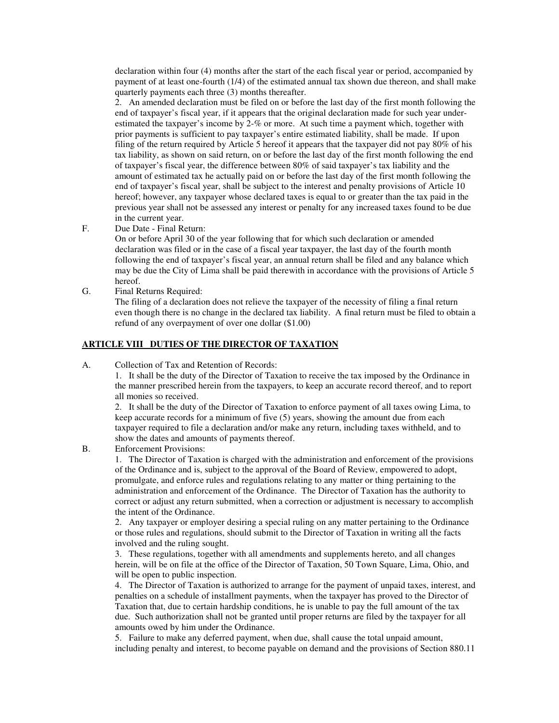declaration within four (4) months after the start of the each fiscal year or period, accompanied by payment of at least one-fourth (1/4) of the estimated annual tax shown due thereon, and shall make quarterly payments each three (3) months thereafter.

 2. An amended declaration must be filed on or before the last day of the first month following the end of taxpayer's fiscal year, if it appears that the original declaration made for such year underestimated the taxpayer's income by 2-% or more. At such time a payment which, together with prior payments is sufficient to pay taxpayer's entire estimated liability, shall be made. If upon filing of the return required by Article 5 hereof it appears that the taxpayer did not pay 80% of his tax liability, as shown on said return, on or before the last day of the first month following the end of taxpayer's fiscal year, the difference between 80% of said taxpayer's tax liability and the amount of estimated tax he actually paid on or before the last day of the first month following the end of taxpayer's fiscal year, shall be subject to the interest and penalty provisions of Article 10 hereof; however, any taxpayer whose declared taxes is equal to or greater than the tax paid in the previous year shall not be assessed any interest or penalty for any increased taxes found to be due in the current year.

F. Due Date - Final Return:

 On or before April 30 of the year following that for which such declaration or amended declaration was filed or in the case of a fiscal year taxpayer, the last day of the fourth month following the end of taxpayer's fiscal year, an annual return shall be filed and any balance which may be due the City of Lima shall be paid therewith in accordance with the provisions of Article 5 hereof.

G. Final Returns Required:

 The filing of a declaration does not relieve the taxpayer of the necessity of filing a final return even though there is no change in the declared tax liability. A final return must be filed to obtain a refund of any overpayment of over one dollar (\$1.00)

## **ARTICLE VIII DUTIES OF THE DIRECTOR OF TAXATION**

A. Collection of Tax and Retention of Records:

 1. It shall be the duty of the Director of Taxation to receive the tax imposed by the Ordinance in the manner prescribed herein from the taxpayers, to keep an accurate record thereof, and to report all monies so received.

 2. It shall be the duty of the Director of Taxation to enforce payment of all taxes owing Lima, to keep accurate records for a minimum of five (5) years, showing the amount due from each taxpayer required to file a declaration and/or make any return, including taxes withheld, and to show the dates and amounts of payments thereof.

B. Enforcement Provisions:

 1. The Director of Taxation is charged with the administration and enforcement of the provisions of the Ordinance and is, subject to the approval of the Board of Review, empowered to adopt, promulgate, and enforce rules and regulations relating to any matter or thing pertaining to the administration and enforcement of the Ordinance. The Director of Taxation has the authority to correct or adjust any return submitted, when a correction or adjustment is necessary to accomplish the intent of the Ordinance.

 2. Any taxpayer or employer desiring a special ruling on any matter pertaining to the Ordinance or those rules and regulations, should submit to the Director of Taxation in writing all the facts involved and the ruling sought.

 3. These regulations, together with all amendments and supplements hereto, and all changes herein, will be on file at the office of the Director of Taxation, 50 Town Square, Lima, Ohio, and will be open to public inspection.

 4. The Director of Taxation is authorized to arrange for the payment of unpaid taxes, interest, and penalties on a schedule of installment payments, when the taxpayer has proved to the Director of Taxation that, due to certain hardship conditions, he is unable to pay the full amount of the tax due. Such authorization shall not be granted until proper returns are filed by the taxpayer for all amounts owed by him under the Ordinance.

 5. Failure to make any deferred payment, when due, shall cause the total unpaid amount, including penalty and interest, to become payable on demand and the provisions of Section 880.11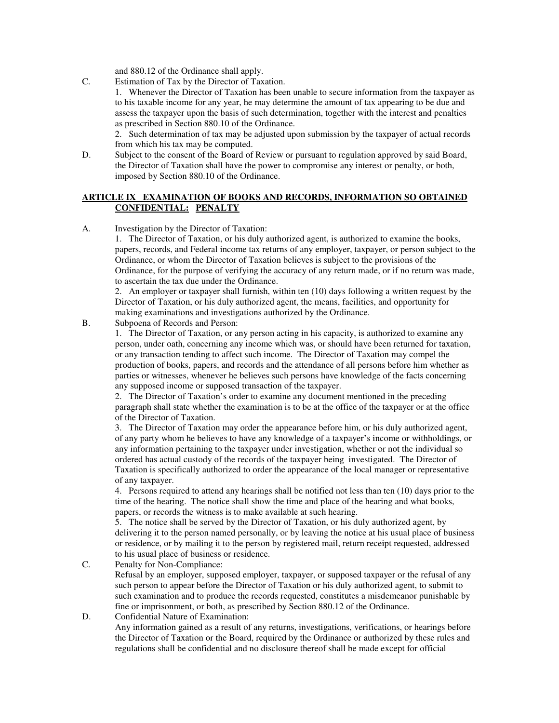and 880.12 of the Ordinance shall apply.

C. Estimation of Tax by the Director of Taxation.

 1. Whenever the Director of Taxation has been unable to secure information from the taxpayer as to his taxable income for any year, he may determine the amount of tax appearing to be due and assess the taxpayer upon the basis of such determination, together with the interest and penalties as prescribed in Section 880.10 of the Ordinance.

 2. Such determination of tax may be adjusted upon submission by the taxpayer of actual records from which his tax may be computed.

D. Subject to the consent of the Board of Review or pursuant to regulation approved by said Board, the Director of Taxation shall have the power to compromise any interest or penalty, or both, imposed by Section 880.10 of the Ordinance.

# **ARTICLE IX EXAMINATION OF BOOKS AND RECORDS, INFORMATION SO OBTAINED CONFIDENTIAL: PENALTY**

A. Investigation by the Director of Taxation:

 1. The Director of Taxation, or his duly authorized agent, is authorized to examine the books, papers, records, and Federal income tax returns of any employer, taxpayer, or person subject to the Ordinance, or whom the Director of Taxation believes is subject to the provisions of the Ordinance, for the purpose of verifying the accuracy of any return made, or if no return was made, to ascertain the tax due under the Ordinance.

 2. An employer or taxpayer shall furnish, within ten (10) days following a written request by the Director of Taxation, or his duly authorized agent, the means, facilities, and opportunity for making examinations and investigations authorized by the Ordinance.

B. Subpoena of Records and Person:

 1. The Director of Taxation, or any person acting in his capacity, is authorized to examine any person, under oath, concerning any income which was, or should have been returned for taxation, or any transaction tending to affect such income. The Director of Taxation may compel the production of books, papers, and records and the attendance of all persons before him whether as parties or witnesses, whenever he believes such persons have knowledge of the facts concerning any supposed income or supposed transaction of the taxpayer.

 2. The Director of Taxation's order to examine any document mentioned in the preceding paragraph shall state whether the examination is to be at the office of the taxpayer or at the office of the Director of Taxation.

 3. The Director of Taxation may order the appearance before him, or his duly authorized agent, of any party whom he believes to have any knowledge of a taxpayer's income or withholdings, or any information pertaining to the taxpayer under investigation, whether or not the individual so ordered has actual custody of the records of the taxpayer being investigated. The Director of Taxation is specifically authorized to order the appearance of the local manager or representative of any taxpayer.

 4. Persons required to attend any hearings shall be notified not less than ten (10) days prior to the time of the hearing. The notice shall show the time and place of the hearing and what books, papers, or records the witness is to make available at such hearing.

 5. The notice shall be served by the Director of Taxation, or his duly authorized agent, by delivering it to the person named personally, or by leaving the notice at his usual place of business or residence, or by mailing it to the person by registered mail, return receipt requested, addressed to his usual place of business or residence.

C. Penalty for Non-Compliance:

 Refusal by an employer, supposed employer, taxpayer, or supposed taxpayer or the refusal of any such person to appear before the Director of Taxation or his duly authorized agent, to submit to such examination and to produce the records requested, constitutes a misdemeanor punishable by fine or imprisonment, or both, as prescribed by Section 880.12 of the Ordinance.

D. Confidential Nature of Examination:

 Any information gained as a result of any returns, investigations, verifications, or hearings before the Director of Taxation or the Board, required by the Ordinance or authorized by these rules and regulations shall be confidential and no disclosure thereof shall be made except for official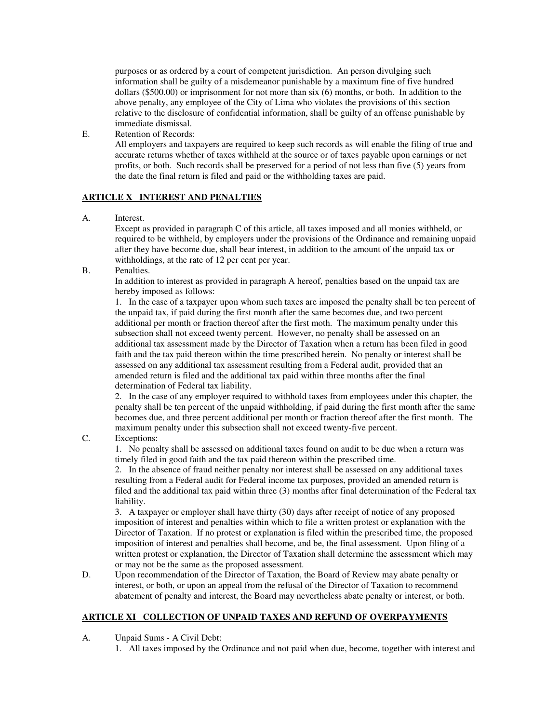purposes or as ordered by a court of competent jurisdiction. An person divulging such information shall be guilty of a misdemeanor punishable by a maximum fine of five hundred dollars (\$500.00) or imprisonment for not more than six (6) months, or both. In addition to the above penalty, any employee of the City of Lima who violates the provisions of this section relative to the disclosure of confidential information, shall be guilty of an offense punishable by immediate dismissal.

E. Retention of Records:

 All employers and taxpayers are required to keep such records as will enable the filing of true and accurate returns whether of taxes withheld at the source or of taxes payable upon earnings or net profits, or both. Such records shall be preserved for a period of not less than five (5) years from the date the final return is filed and paid or the withholding taxes are paid.

## **ARTICLE X INTEREST AND PENALTIES**

A. Interest.

 Except as provided in paragraph C of this article, all taxes imposed and all monies withheld, or required to be withheld, by employers under the provisions of the Ordinance and remaining unpaid after they have become due, shall bear interest, in addition to the amount of the unpaid tax or withholdings, at the rate of 12 per cent per year.

B. Penalties.

 In addition to interest as provided in paragraph A hereof, penalties based on the unpaid tax are hereby imposed as follows:

 1. In the case of a taxpayer upon whom such taxes are imposed the penalty shall be ten percent of the unpaid tax, if paid during the first month after the same becomes due, and two percent additional per month or fraction thereof after the first moth. The maximum penalty under this subsection shall not exceed twenty percent. However, no penalty shall be assessed on an additional tax assessment made by the Director of Taxation when a return has been filed in good faith and the tax paid thereon within the time prescribed herein. No penalty or interest shall be assessed on any additional tax assessment resulting from a Federal audit, provided that an amended return is filed and the additional tax paid within three months after the final determination of Federal tax liability.

 2. In the case of any employer required to withhold taxes from employees under this chapter, the penalty shall be ten percent of the unpaid withholding, if paid during the first month after the same becomes due, and three percent additional per month or fraction thereof after the first month. The maximum penalty under this subsection shall not exceed twenty-five percent.

## C. Exceptions:

 1. No penalty shall be assessed on additional taxes found on audit to be due when a return was timely filed in good faith and the tax paid thereon within the prescribed time.

 2. In the absence of fraud neither penalty nor interest shall be assessed on any additional taxes resulting from a Federal audit for Federal income tax purposes, provided an amended return is filed and the additional tax paid within three (3) months after final determination of the Federal tax liability.

 3. A taxpayer or employer shall have thirty (30) days after receipt of notice of any proposed imposition of interest and penalties within which to file a written protest or explanation with the Director of Taxation. If no protest or explanation is filed within the prescribed time, the proposed imposition of interest and penalties shall become, and be, the final assessment. Upon filing of a written protest or explanation, the Director of Taxation shall determine the assessment which may or may not be the same as the proposed assessment.

D. Upon recommendation of the Director of Taxation, the Board of Review may abate penalty or interest, or both, or upon an appeal from the refusal of the Director of Taxation to recommend abatement of penalty and interest, the Board may nevertheless abate penalty or interest, or both.

# **ARTICLE XI COLLECTION OF UNPAID TAXES AND REFUND OF OVERPAYMENTS**

A. Unpaid Sums - A Civil Debt:

1. All taxes imposed by the Ordinance and not paid when due, become, together with interest and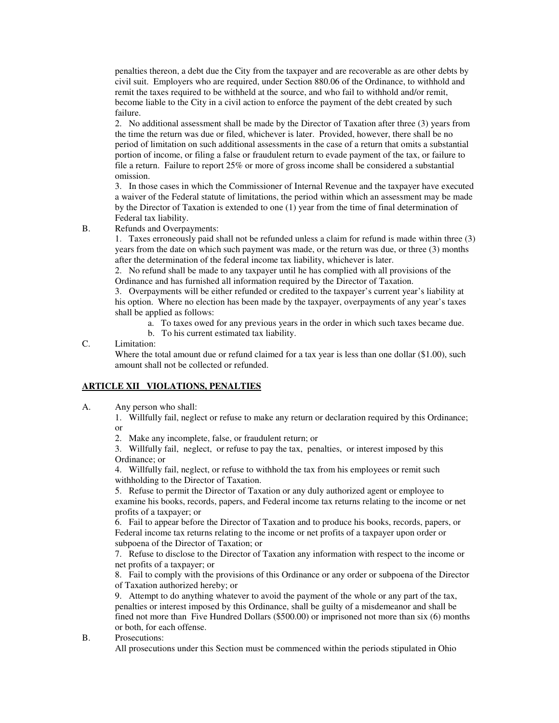penalties thereon, a debt due the City from the taxpayer and are recoverable as are other debts by civil suit. Employers who are required, under Section 880.06 of the Ordinance, to withhold and remit the taxes required to be withheld at the source, and who fail to withhold and/or remit, become liable to the City in a civil action to enforce the payment of the debt created by such failure.

 2. No additional assessment shall be made by the Director of Taxation after three (3) years from the time the return was due or filed, whichever is later. Provided, however, there shall be no period of limitation on such additional assessments in the case of a return that omits a substantial portion of income, or filing a false or fraudulent return to evade payment of the tax, or failure to file a return. Failure to report 25% or more of gross income shall be considered a substantial omission.

 3. In those cases in which the Commissioner of Internal Revenue and the taxpayer have executed a waiver of the Federal statute of limitations, the period within which an assessment may be made by the Director of Taxation is extended to one (1) year from the time of final determination of Federal tax liability.

B. Refunds and Overpayments:

 1. Taxes erroneously paid shall not be refunded unless a claim for refund is made within three (3) years from the date on which such payment was made, or the return was due, or three (3) months after the determination of the federal income tax liability, whichever is later.

 2. No refund shall be made to any taxpayer until he has complied with all provisions of the Ordinance and has furnished all information required by the Director of Taxation.

 3. Overpayments will be either refunded or credited to the taxpayer's current year's liability at his option. Where no election has been made by the taxpayer, overpayments of any year's taxes shall be applied as follows:

a. To taxes owed for any previous years in the order in which such taxes became due.

b. To his current estimated tax liability.

C. Limitation:

Where the total amount due or refund claimed for a tax year is less than one dollar (\$1.00), such amount shall not be collected or refunded.

## **ARTICLE XII VIOLATIONS, PENALTIES**

A. Any person who shall:

 1. Willfully fail, neglect or refuse to make any return or declaration required by this Ordinance; or

2. Make any incomplete, false, or fraudulent return; or

 3. Willfully fail, neglect, or refuse to pay the tax, penalties, or interest imposed by this Ordinance; or

 4. Willfully fail, neglect, or refuse to withhold the tax from his employees or remit such withholding to the Director of Taxation.

 5. Refuse to permit the Director of Taxation or any duly authorized agent or employee to examine his books, records, papers, and Federal income tax returns relating to the income or net profits of a taxpayer; or

 6. Fail to appear before the Director of Taxation and to produce his books, records, papers, or Federal income tax returns relating to the income or net profits of a taxpayer upon order or subpoena of the Director of Taxation; or

 7. Refuse to disclose to the Director of Taxation any information with respect to the income or net profits of a taxpayer; or

 8. Fail to comply with the provisions of this Ordinance or any order or subpoena of the Director of Taxation authorized hereby; or

 9. Attempt to do anything whatever to avoid the payment of the whole or any part of the tax, penalties or interest imposed by this Ordinance, shall be guilty of a misdemeanor and shall be fined not more than Five Hundred Dollars (\$500.00) or imprisoned not more than six (6) months or both, for each offense.

## B. Prosecutions:

All prosecutions under this Section must be commenced within the periods stipulated in Ohio